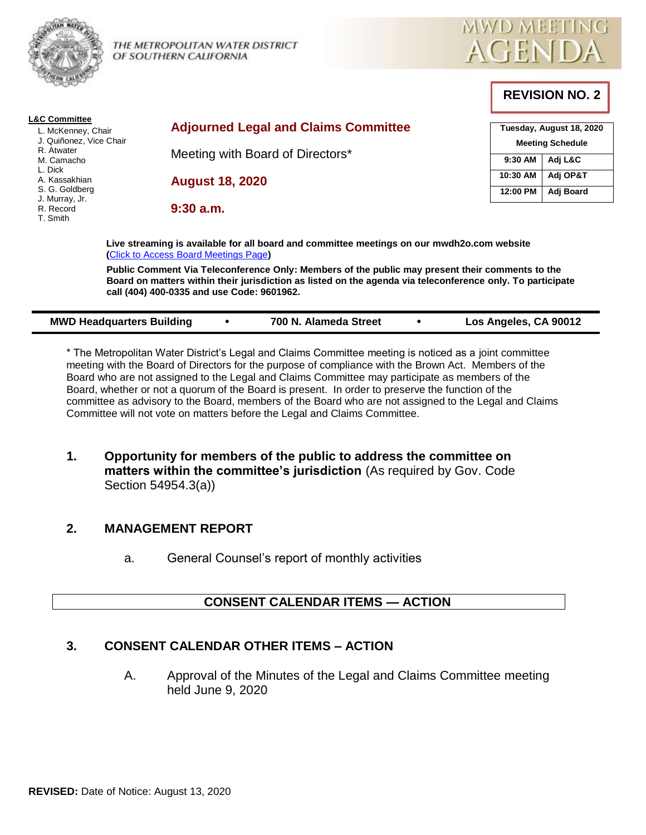

THE METROPOLITAN WATER DISTRICT OF SOUTHERN CALIFORNIA



**REVISION NO. 2**

| <b>Adjourned Legal and Claims Committee</b> | Tuesday, August 18, 2020              |                                    |
|---------------------------------------------|---------------------------------------|------------------------------------|
| Meeting with Board of Directors*            |                                       | <b>Meeting Schedule</b><br>Adj L&C |
|                                             | 10:30 AM                              | Adj OP&T                           |
|                                             | 12:00 PM                              | Adj Board                          |
|                                             |                                       |                                    |
|                                             | <b>August 18, 2020</b><br>$9:30$ a.m. | 9:30 AM                            |

**Live streaming is available for all board and committee meetings on our mwdh2o.com website (**[Click to Access Board Meetings Page](http://www.mwdh2o.com/WhoWeAre/Board/Board-Meeting/Pages/default.aspx)**)**

**Public Comment Via Teleconference Only: Members of the public may present their comments to the Board on matters within their jurisdiction as listed on the agenda via teleconference only. To participate call (404) 400-0335 and use Code: 9601962.**

| Los Angeles, CA 90012<br><b>MWD Headquarters Building</b><br>700 N. Alameda Street |  |
|------------------------------------------------------------------------------------|--|
|------------------------------------------------------------------------------------|--|

\* The Metropolitan Water District's Legal and Claims Committee meeting is noticed as a joint committee meeting with the Board of Directors for the purpose of compliance with the Brown Act. Members of the Board who are not assigned to the Legal and Claims Committee may participate as members of the Board, whether or not a quorum of the Board is present. In order to preserve the function of the committee as advisory to the Board, members of the Board who are not assigned to the Legal and Claims Committee will not vote on matters before the Legal and Claims Committee.

**1. Opportunity for members of the public to address the committee on matters within the committee's jurisdiction** (As required by Gov. Code Section 54954.3(a))

## **2. MANAGEMENT REPORT**

a. General Counsel's report of monthly activities

# **CONSENT CALENDAR ITEMS — ACTION**

# **3. CONSENT CALENDAR OTHER ITEMS – ACTION**

A. Approval of the Minutes of the Legal and Claims Committee meeting held June 9, 2020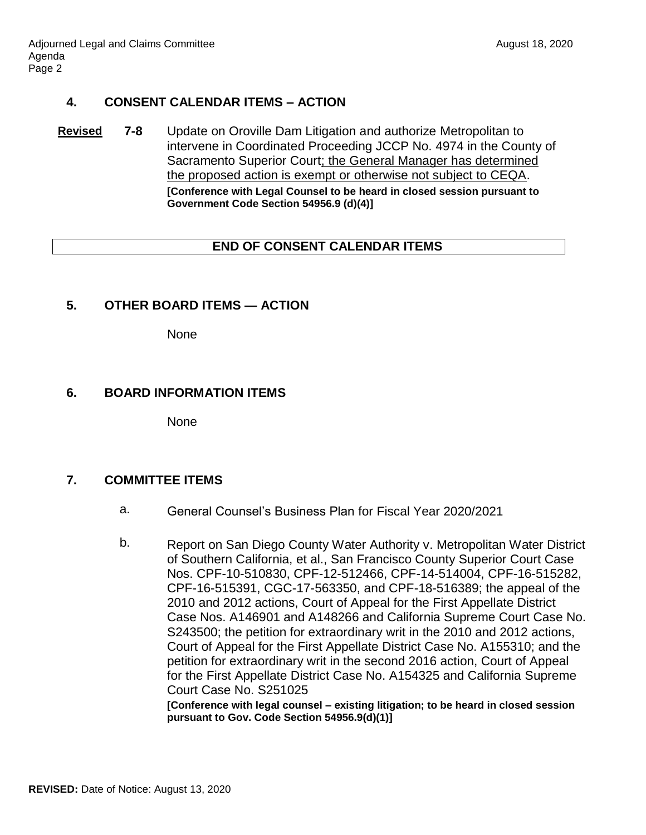### **4. CONSENT CALENDAR ITEMS – ACTION**

**Revised 7-8** Update on Oroville Dam Litigation and authorize Metropolitan to intervene in Coordinated Proceeding JCCP No. 4974 in the County of Sacramento Superior Court; the General Manager has determined the proposed action is exempt or otherwise not subject to CEQA. **[Conference with Legal Counsel to be heard in closed session pursuant to Government Code Section 54956.9 (d)(4)]**

### **END OF CONSENT CALENDAR ITEMS**

### **5. OTHER BOARD ITEMS — ACTION**

None

### **6. BOARD INFORMATION ITEMS**

None

## **7. COMMITTEE ITEMS**

- a. General Counsel's Business Plan for Fiscal Year 2020/2021
- b. Report on San Diego County Water Authority v. Metropolitan Water District of Southern California, et al., San Francisco County Superior Court Case Nos. CPF-10-510830, CPF-12-512466, CPF-14-514004, CPF-16-515282, CPF-16-515391, CGC-17-563350, and CPF-18-516389; the appeal of the 2010 and 2012 actions, Court of Appeal for the First Appellate District Case Nos. A146901 and A148266 and California Supreme Court Case No. S243500; the petition for extraordinary writ in the 2010 and 2012 actions, Court of Appeal for the First Appellate District Case No. A155310; and the petition for extraordinary writ in the second 2016 action, Court of Appeal for the First Appellate District Case No. A154325 and California Supreme Court Case No. S251025

**[Conference with legal counsel – existing litigation; to be heard in closed session pursuant to Gov. Code Section 54956.9(d)(1)]**